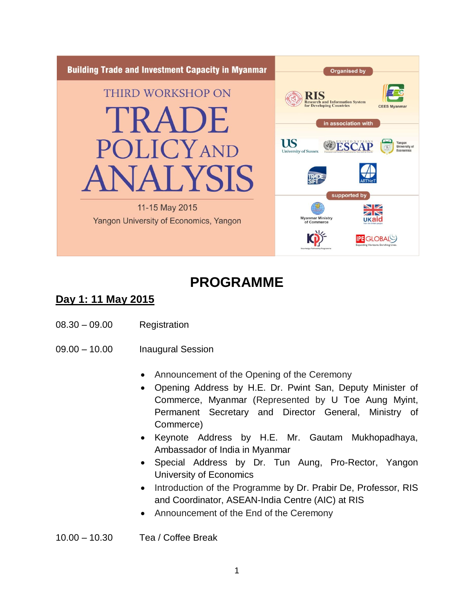

# **PROGRAMME**

### **Day 1: 11 May 2015**

- 08.30 09.00 Registration
- 09.00 10.00 Inaugural Session
	- Announcement of the Opening of the Ceremony
	- Opening Address by H.E. Dr. Pwint San, Deputy Minister of Commerce, Myanmar (Represented by U Toe Aung Myint, Permanent Secretary and Director General, Ministry of Commerce)
	- Keynote Address by H.E. Mr. Gautam Mukhopadhaya, Ambassador of India in Myanmar
	- Special Address by Dr. Tun Aung, Pro-Rector, Yangon University of Economics
	- Introduction of the Programme by Dr. Prabir De, Professor, RIS and Coordinator, ASEAN-India Centre (AIC) at RIS
	- Announcement of the End of the Ceremony
- 10.00 10.30 Tea / Coffee Break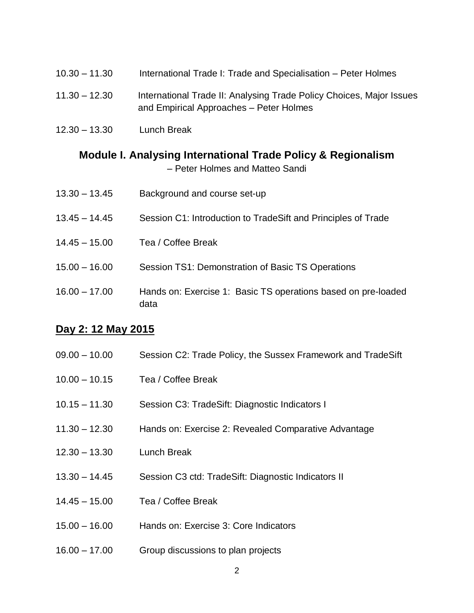| $10.30 - 11.30$ | International Trade I: Trade and Specialisation – Peter Holmes                                                  |
|-----------------|-----------------------------------------------------------------------------------------------------------------|
| $11.30 - 12.30$ | International Trade II: Analysing Trade Policy Choices, Major Issues<br>and Empirical Approaches - Peter Holmes |

12.30 – 13.30 Lunch Break

#### **Module I. Analysing International Trade Policy & Regionalism** – Peter Holmes and Matteo Sandi

| $13.30 - 13.45$ | Background and course set-up                                          |
|-----------------|-----------------------------------------------------------------------|
| $13.45 - 14.45$ | Session C1: Introduction to TradeSift and Principles of Trade         |
| $14.45 - 15.00$ | Tea / Coffee Break                                                    |
| $15.00 - 16.00$ | Session TS1: Demonstration of Basic TS Operations                     |
| $16.00 - 17.00$ | Hands on: Exercise 1: Basic TS operations based on pre-loaded<br>data |

#### **Day 2: 12 May 2015**

| $09.00 - 10.00$ | Session C2: Trade Policy, the Sussex Framework and TradeSift |  |
|-----------------|--------------------------------------------------------------|--|
|                 |                                                              |  |

- 10.00 10.15 Tea / Coffee Break
- 10.15 11.30 Session C3: TradeSift: Diagnostic Indicators I
- 11.30 12.30 Hands on: Exercise 2: Revealed Comparative Advantage
- 12.30 13.30 Lunch Break
- 13.30 14.45 Session C3 ctd: TradeSift: Diagnostic Indicators II
- 14.45 15.00 Tea / Coffee Break
- 15.00 16.00 Hands on: Exercise 3: Core Indicators
- 16.00 17.00 Group discussions to plan projects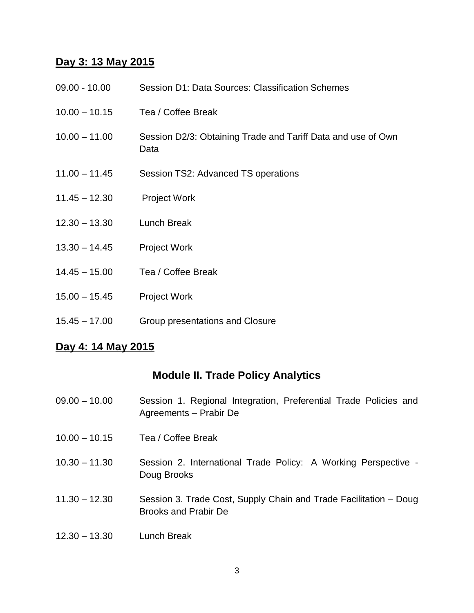#### **Day 3: 13 May 2015**

| $09.00 - 10.00$ | Session D1: Data Sources: Classification Schemes                     |
|-----------------|----------------------------------------------------------------------|
| $10.00 - 10.15$ | Tea / Coffee Break                                                   |
| $10.00 - 11.00$ | Session D2/3: Obtaining Trade and Tariff Data and use of Own<br>Data |
| $11.00 - 11.45$ | Session TS2: Advanced TS operations                                  |
| $11.45 - 12.30$ | <b>Project Work</b>                                                  |
| $12.30 - 13.30$ | Lunch Break                                                          |
| $13.30 - 14.45$ | <b>Project Work</b>                                                  |
| $14.45 - 15.00$ | Tea / Coffee Break                                                   |
| $15.00 - 15.45$ | <b>Project Work</b>                                                  |
| $15.45 - 17.00$ | Group presentations and Closure                                      |

#### **Day 4: 14 May 2015**

#### **Module II. Trade Policy Analytics**

- 09.00 10.00 Session 1. Regional Integration, Preferential Trade Policies and Agreements – Prabir De
- 10.00 10.15 Tea / Coffee Break
- 10.30 11.30 Session 2. International Trade Policy: A Working Perspective Doug Brooks
- 11.30 12.30 Session 3. Trade Cost, Supply Chain and Trade Facilitation Doug Brooks and Prabir De
- 12.30 13.30 Lunch Break